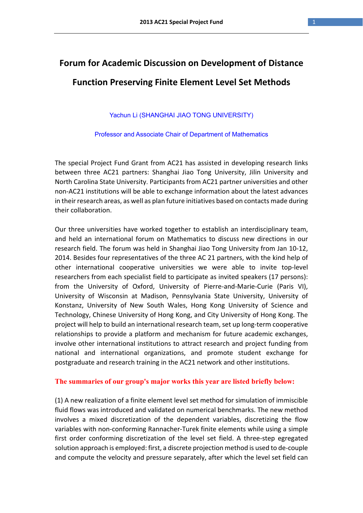## **Forum for Academic Discussion on Development of Distance Function Preserving Finite Element Level Set Methods**

Yachun Li (SHANGHAI JIAO TONG UNIVERSITY)

Professor and Associate Chair of Department of Mathematics

The special Project Fund Grant from AC21 has assisted in developing research links between three AC21 partners: Shanghai Jiao Tong University, Jilin University and North Carolina State University. Participants from AC21 partner universities and other non‐AC21 institutions will be able to exchange information about the latest advances in their research areas, as well as plan future initiatives based on contacts made during their collaboration.

Our three universities have worked together to establish an interdisciplinary team, and held an international forum on Mathematics to discuss new directions in our research field. The forum was held in Shanghai Jiao Tong University from Jan 10‐12, 2014. Besides four representatives of the three AC 21 partners, with the kind help of other international cooperative universities we were able to invite top‐level researchers from each specialist field to participate as invited speakers (17 persons): from the University of Oxford, University of Pierre-and-Marie-Curie (Paris VI), University of Wisconsin at Madison, Pennsylvania State University, University of Konstanz, University of New South Wales, Hong Kong University of Science and Technology, Chinese University of Hong Kong, and City University of Hong Kong. The project will help to build an international research team, set up long-term cooperative relationships to provide a platform and mechanism for future academic exchanges, involve other international institutions to attract research and project funding from national and international organizations, and promote student exchange for postgraduate and research training in the AC21 network and other institutions.

## **The summaries of our group's major works this year are listed briefly below:**

(1) A new realization of a finite element level set method for simulation of immiscible fluid flows was introduced and validated on numerical benchmarks. The new method involves a mixed discretization of the dependent variables, discretizing the flow variables with non‐conforming Rannacher‐Turek finite elements while using a simple first order conforming discretization of the level set field. A three-step egregated solution approach is employed: first, a discrete projection method is used to de‐couple and compute the velocity and pressure separately, after which the level set field can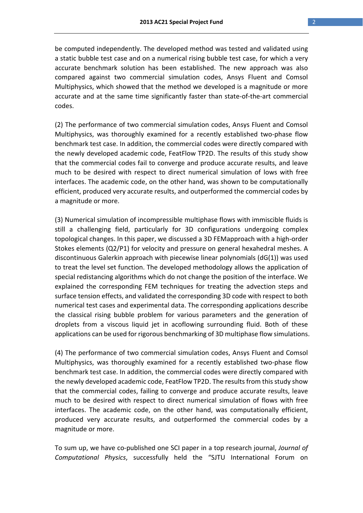be computed independently. The developed method was tested and validated using a static bubble test case and on a numerical rising bubble test case, for which a very accurate benchmark solution has been established. The new approach was also compared against two commercial simulation codes, Ansys Fluent and Comsol Multiphysics, which showed that the method we developed is a magnitude or more accurate and at the same time significantly faster than state‐of‐the‐art commercial codes.

(2) The performance of two commercial simulation codes, Ansys Fluent and Comsol Multiphysics, was thoroughly examined for a recently established two‐phase flow benchmark test case. In addition, the commercial codes were directly compared with the newly developed academic code, FeatFlow TP2D. The results of this study show that the commercial codes fail to converge and produce accurate results, and leave much to be desired with respect to direct numerical simulation of lows with free interfaces. The academic code, on the other hand, was shown to be computationally efficient, produced very accurate results, and outperformed the commercial codes by a magnitude or more.

(3) Numerical simulation of incompressible multiphase flows with immiscible fluids is still a challenging field, particularly for 3D configurations undergoing complex topological changes. In this paper, we discussed a 3D FEMapproach with a high‐order Stokes elements (Q2/P1) for velocity and pressure on general hexahedral meshes. A discontinuous Galerkin approach with piecewise linear polynomials (dG(1)) was used to treat the level set function. The developed methodology allows the application of special redistancing algorithms which do not change the position of the interface. We explained the corresponding FEM techniques for treating the advection steps and surface tension effects, and validated the corresponding 3D code with respect to both numerical test cases and experimental data. The corresponding applications describe the classical rising bubble problem for various parameters and the generation of droplets from a viscous liquid jet in acoflowing surrounding fluid. Both of these applications can be used for rigorous benchmarking of 3D multiphase flow simulations.

(4) The performance of two commercial simulation codes, Ansys Fluent and Comsol Multiphysics, was thoroughly examined for a recently established two‐phase flow benchmark test case. In addition, the commercial codes were directly compared with the newly developed academic code, FeatFlow TP2D. The results from this study show that the commercial codes, failing to converge and produce accurate results, leave much to be desired with respect to direct numerical simulation of flows with free interfaces. The academic code, on the other hand, was computationally efficient, produced very accurate results, and outperformed the commercial codes by a magnitude or more.

To sum up, we have co‐published one SCI paper in a top research journal, *Journal of Computational Physics*, successfully held the "SJTU International Forum on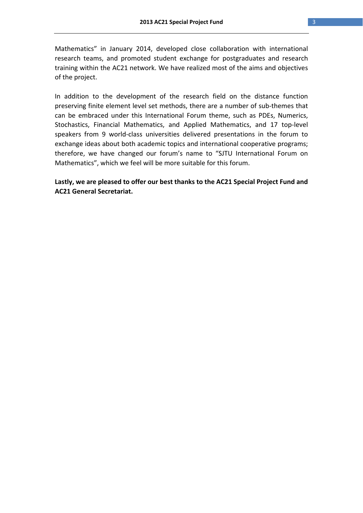Mathematics" in January 2014, developed close collaboration with international research teams, and promoted student exchange for postgraduates and research training within the AC21 network. We have realized most of the aims and objectives of the project.

In addition to the development of the research field on the distance function preserving finite element level set methods, there are a number of sub‐themes that can be embraced under this International Forum theme, such as PDEs, Numerics, Stochastics, Financial Mathematics, and Applied Mathematics, and 17 top‐level speakers from 9 world‐class universities delivered presentations in the forum to exchange ideas about both academic topics and international cooperative programs; therefore, we have changed our forum's name to "SJTU International Forum on Mathematics", which we feel will be more suitable for this forum.

**Lastly, we are pleased to offer our best thanks to the AC21 Special Project Fund and AC21 General Secretariat.**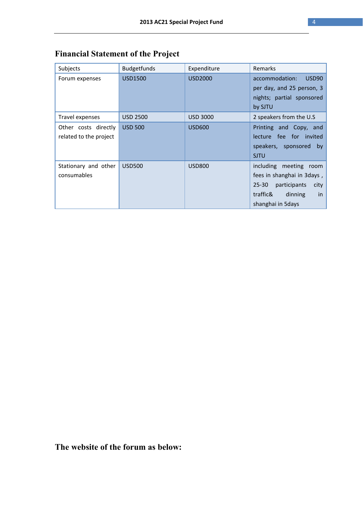| Subjects               | <b>Budgetfunds</b> | Expenditure     | Remarks                             |
|------------------------|--------------------|-----------------|-------------------------------------|
| Forum expenses         | USD1500            | USD2000         | accommodation:<br>USD <sub>90</sub> |
|                        |                    |                 | per day, and 25 person, 3           |
|                        |                    |                 | nights; partial sponsored           |
|                        |                    |                 | by SJTU                             |
| Travel expenses        | <b>USD 2500</b>    | <b>USD 3000</b> | 2 speakers from the U.S             |
| Other costs directly   | <b>USD 500</b>     | <b>USD600</b>   | Printing and Copy, and              |
| related to the project |                    |                 | fee for invited<br>lecture          |
|                        |                    |                 | speakers, sponsored<br>by           |
|                        |                    |                 | <b>SJTU</b>                         |
| Stationary and other   | <b>USD500</b>      | <b>USD800</b>   | including meeting<br>room           |
| consumables            |                    |                 | fees in shanghai in 3days,          |
|                        |                    |                 | $25 - 30$<br>participants<br>city   |
|                        |                    |                 | traffic&<br>dinning<br>in           |
|                        |                    |                 | shanghai in 5days                   |

## **Financial Statement of the Project**

**The website of the forum as below:**